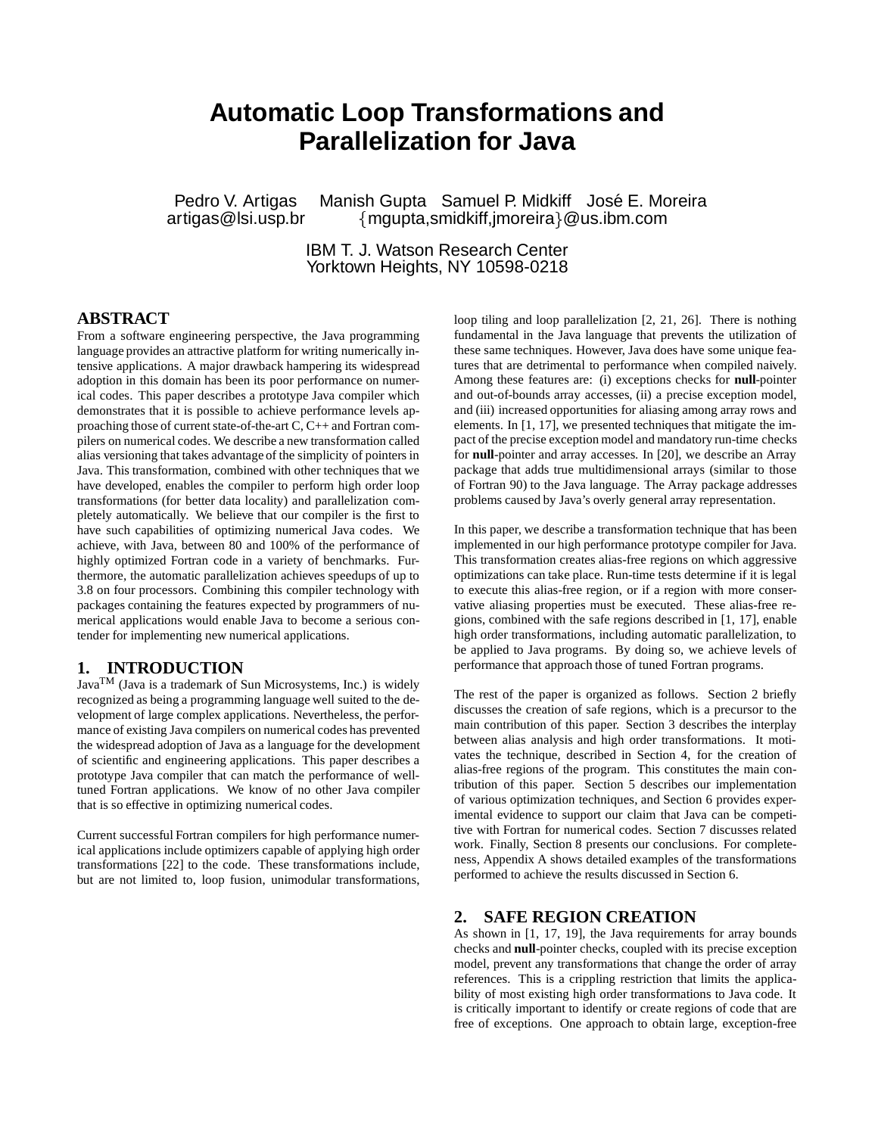# **Automatic Loop Transformations and Parallelization for Java**

Pedro V. Artigas Manish Gupta Samuel P. Midkiff José E. Moreira artigas@lsi.usp.br  ${mgupta}$ ,smidkiff,jmoreira $\&$  @us.ibm.com

> IBM T. J. Watson Research Center Yorktown Heights, NY 10598-0218

# **ABSTRACT**

From a software engineering perspective, the Java programming language provides an attractive platform for writing numerically intensive applications. A major drawback hampering its widespread adoption in this domain has been its poor performance on numerical codes. This paper describes a prototype Java compiler which demonstrates that it is possible to achieve performance levels approaching those of current state-of-the-art C, C++ and Fortran compilers on numerical codes. We describe a new transformation called alias versioning that takes advantage of the simplicity of pointersin Java. This transformation, combined with other techniques that we have developed, enables the compiler to perform high order loop transformations (for better data locality) and parallelization completely automatically. We believe that our compiler is the first to have such capabilities of optimizing numerical Java codes. We achieve, with Java, between 80 and 100% of the performance of highly optimized Fortran code in a variety of benchmarks. Furthermore, the automatic parallelization achieves speedups of up to 3.8 on four processors. Combining this compiler technology with packages containing the features expected by programmers of numerical applications would enable Java to become a serious contender for implementing new numerical applications.

#### **1. INTRODUCTION**

Java<sup>TM</sup> (Java is a trademark of Sun Microsystems, Inc.) is widely recognized as being a programming language well suited to the development of large complex applications. Nevertheless, the performance of existing Java compilers on numerical codes has prevented the widespread adoption of Java as a language for the development of scientific and engineering applications. This paper describes a prototype Java compiler that can match the performance of welltuned Fortran applications. We know of no other Java compiler that is so effective in optimizing numerical codes.

Current successful Fortran compilers for high performance numerical applications include optimizers capable of applying high order transformations [22] to the code. These transformations include, but are not limited to, loop fusion, unimodular transformations, loop tiling and loop parallelization [2, 21, 26]. There is nothing fundamental in the Java language that prevents the utilization of these same techniques. However, Java does have some unique features that are detrimental to performance when compiled naively. Among these features are: (i) exceptions checks for **null**-pointer and out-of-bounds array accesses, (ii) a precise exception model, and (iii) increased opportunities for aliasing among array rows and elements. In  $[1, 17]$ , we presented techniques that mitigate the impact of the precise exception model and mandatory run-time checks for **null**-pointer and array accesses. In [20], we describe an Array package that adds true multidimensional arrays (similar to those of Fortran 90) to the Java language. The Array package addresses problems caused by Java's overly general array representation.

In this paper, we describe a transformation technique that has been implemented in our high performance prototype compiler for Java. This transformation creates alias-free regions on which aggressive optimizations can take place. Run-time tests determine if it is legal to execute this alias-free region, or if a region with more conservative aliasing properties must be executed. These alias-free regions, combined with the safe regions described in [1, 17], enable high order transformations, including automatic parallelization, to be applied to Java programs. By doing so, we achieve levels of performance that approach those of tuned Fortran programs.

The rest of the paper is organized as follows. Section 2 briefly discusses the creation of safe regions, which is a precursor to the main contribution of this paper. Section 3 describes the interplay between alias analysis and high order transformations. It motivates the technique, described in Section 4, for the creation of alias-free regions of the program. This constitutes the main contribution of this paper. Section 5 describes our implementation of various optimization techniques, and Section 6 provides experimental evidence to support our claim that Java can be competitive with Fortran for numerical codes. Section 7 discusses related work. Finally, Section 8 presents our conclusions. For completeness, Appendix A shows detailed examples of the transformations performed to achieve the results discussed in Section 6.

### **2. SAFE REGION CREATION**

As shown in [1, 17, 19], the Java requirements for array bounds checks and **null**-pointer checks, coupled with its precise exception model, prevent any transformations that change the order of array references. This is a crippling restriction that limits the applicability of most existing high order transformations to Java code. It is critically important to identify or create regions of code that are free of exceptions. One approach to obtain large, exception-free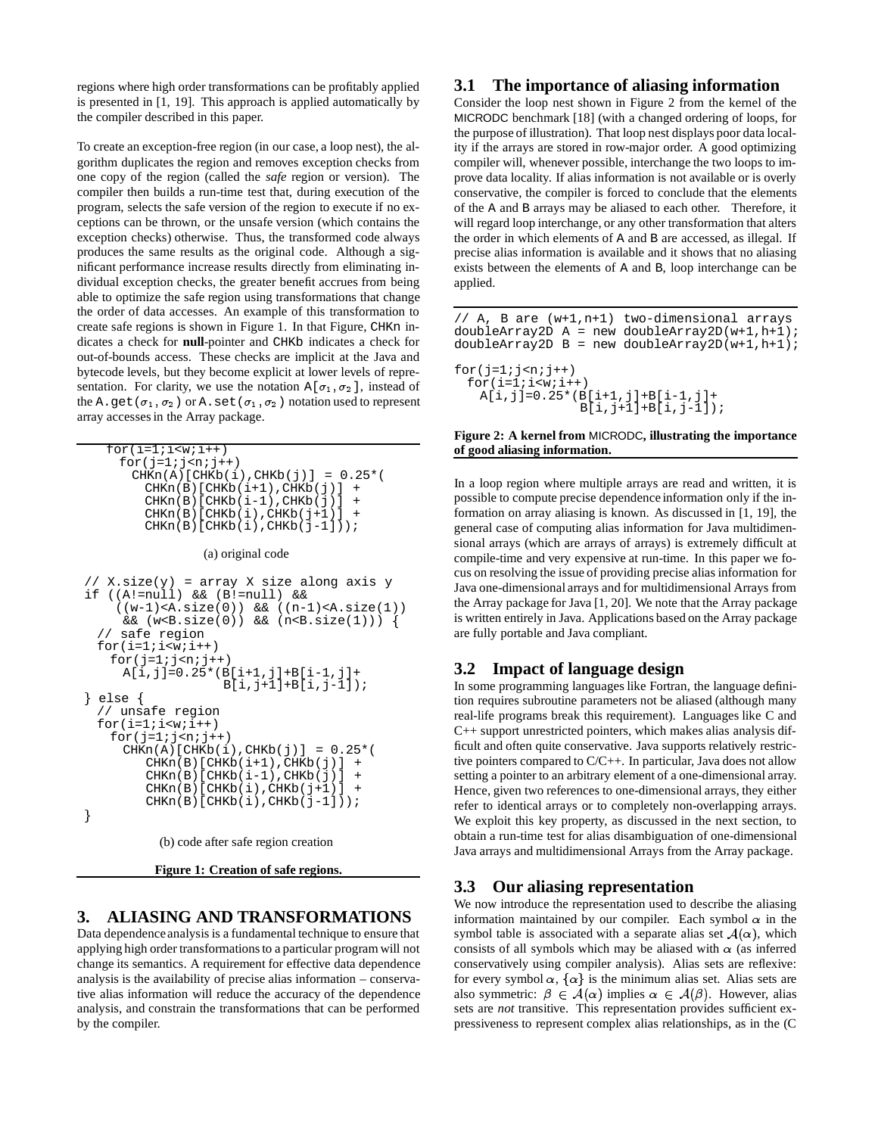regions where high order transformations can be profitably applied is presented in [1, 19]. This approach is applied automatically by the compiler described in this paper.

To create an exception-free region (in our case, a loop nest), the algorithm duplicates the region and removes exception checks from one copy of the region (called the *safe* region or version). The compiler then builds a run-time test that, during execution of the program, selects the safe version of the region to execute if no exceptions can be thrown, or the unsafe version (which contains the exception checks) otherwise. Thus, the transformed code always produces the same results as the original code. Although a significant performance increase results directly from eliminating individual exception checks, the greater benefit accrues from being able to optimize the safe region using transformations that change the order of data accesses. An example of this transformation to create safe regions is shown in Figure 1. In that Figure, CHKn indicates a check for **null**-pointer and CHKb indicates a check for out-of-bounds access. These checks are implicit at the Java and bytecode levels, but they become explicit at lower levels of representation. For clarity, we use the notation  $A[\sigma_1, \sigma_2]$ , instead of the A.get( $\sigma_1, \sigma_2$ ) or A.set( $\sigma_1, \sigma_2$ ) notation used to represent array accessesin the Array package.

```
for(i=1;i\le w;i++)for(j=1; j<n; j++)CHKn(A)[CHKb(i), CHKb(j)] = 0.25*(CHKn(B)[CHKb(i+1), CHKb(j)] +CHKn(B)[CHKb(i-1), CHKb(j)] +CHKn(B)[CHKb(i), CHKb(j+1)]CHKn(B)[CHKb(i), CHKb(j-1)];
                (a) original code
// X.size(y) = array X size along axis y
if ((A!=null) && (B!=null) &&
    ((w-1)<A.size(0)) && ((n-1)<A.size(1))
     && (w<B.size(0)) && (n<B.size(1))) 	
  // safe region
 for(i=1;i< w;i++)for(j=1:j<n;j++)A[i,j]=0.25*(B[i+1,j]+B[i-1,j]+
                   B[i,j+1]+B[i,j-1]);
} else {
 // unsafe region
 for(i=1;i<\le i>i++)for(j=1; j<n; j++)CHKn(A)[CHKb(i), CHKb(j)] = 0.25*(CHKn(B)[CHKb(i+1), CHKb(j)] +CHKn(B)[CHKb(i-1), CHKb(j)] +CHKn(B)[CHKb(i),CHKb(j+1)] +
        CHKn(B)[CHKb(i), CHKb(j-1)];
\mathcal{L}
```
(b) code after safe region creation

**Figure 1: Creation of safe regions.**

### **3. ALIASING AND TRANSFORMATIONS**

Data dependence analysis is a fundamental technique to ensure that applying high order transformationsto a particular program will not change its semantics. A requirement for effective data dependence analysis is the availability of precise alias information – conservative alias information will reduce the accuracy of the dependence analysis, and constrain the transformations that can be performed by the compiler.

#### **3.1 The importance of aliasing information**

Consider the loop nest shown in Figure 2 from the kernel of the MICRODC benchmark [18] (with a changed ordering of loops, for the purpose of illustration). That loop nest displays poor data locality if the arrays are stored in row-major order. A good optimizing compiler will, whenever possible, interchange the two loops to improve data locality. If alias information is not available or is overly conservative, the compiler is forced to conclude that the elements of the A and B arrays may be aliased to each other. Therefore, it will regard loop interchange, or any other transformation that alters the order in which elements of A and B are accessed, as illegal. If precise alias information is available and it shows that no aliasing exists between the elements of A and B, loop interchange can be applied.

// A, B are (w+1,n+1) two-dimensional arrays doubleArray2D A = new doubleArray2D(w+1,h+1); doubleArray2D  $B = new doubleArray2D(w+1,h+1);$  $for(j=1:j$  $for(i=1;i< w;i++)$ A[i,j]=0.25\*(B[i+1,j]+B[i-1,j]+  $B[i,j+1]+B[i,j-1])$ ;

**Figure 2: A kernel from** MICRODC**, illustrating the importance of good aliasing information.**

In a loop region where multiple arrays are read and written, it is possible to compute precise dependence information only if the information on array aliasing is known. As discussed in [1, 19], the general case of computing alias information for Java multidimensional arrays (which are arrays of arrays) is extremely difficult at compile-time and very expensive at run-time. In this paper we focus on resolving the issue of providing precise aliasinformation for Java one-dimensional arrays and for multidimensional Arrays from the Array package for Java [1, 20]. We note that the Array package is written entirely in Java. Applications based on the Array package are fully portable and Java compliant.

### **3.2 Impact of language design**

In some programming languageslike Fortran, the language definition requires subroutine parameters not be aliased (although many real-life programs break this requirement). Languages like C and C++ support unrestricted pointers, which makes alias analysis difficult and often quite conservative. Java supports relatively restrictive pointers compared to C/C++. In particular, Java does not allow setting a pointer to an arbitrary element of a one-dimensional array. Hence, given two references to one-dimensional arrays, they either refer to identical arrays or to completely non-overlapping arrays. We exploit this key property, as discussed in the next section, to obtain a run-time test for alias disambiguation of one-dimensional Java arrays and multidimensional Arrays from the Array package.

### **3.3 Our aliasing representation**

We now introduce the representation used to describe the aliasing information maintained by our compiler. Each symbol  $\alpha$  in the symbol table is associated with a separate alias set  $A(\alpha)$ , which consists of all symbols which may be aliased with  $\alpha$  (as inferred conservatively using compiler analysis). Alias sets are reflexive: for every symbol  $\alpha$ ,  $\{\alpha\}$  is the minimum alias set. Alias sets are also symmetric:  $\beta \in A(\alpha)$  implies  $\alpha \in A(\beta)$ . However, alias sets are *not* transitive. This representation provides sufficient expressiveness to represent complex alias relationships, as in the (C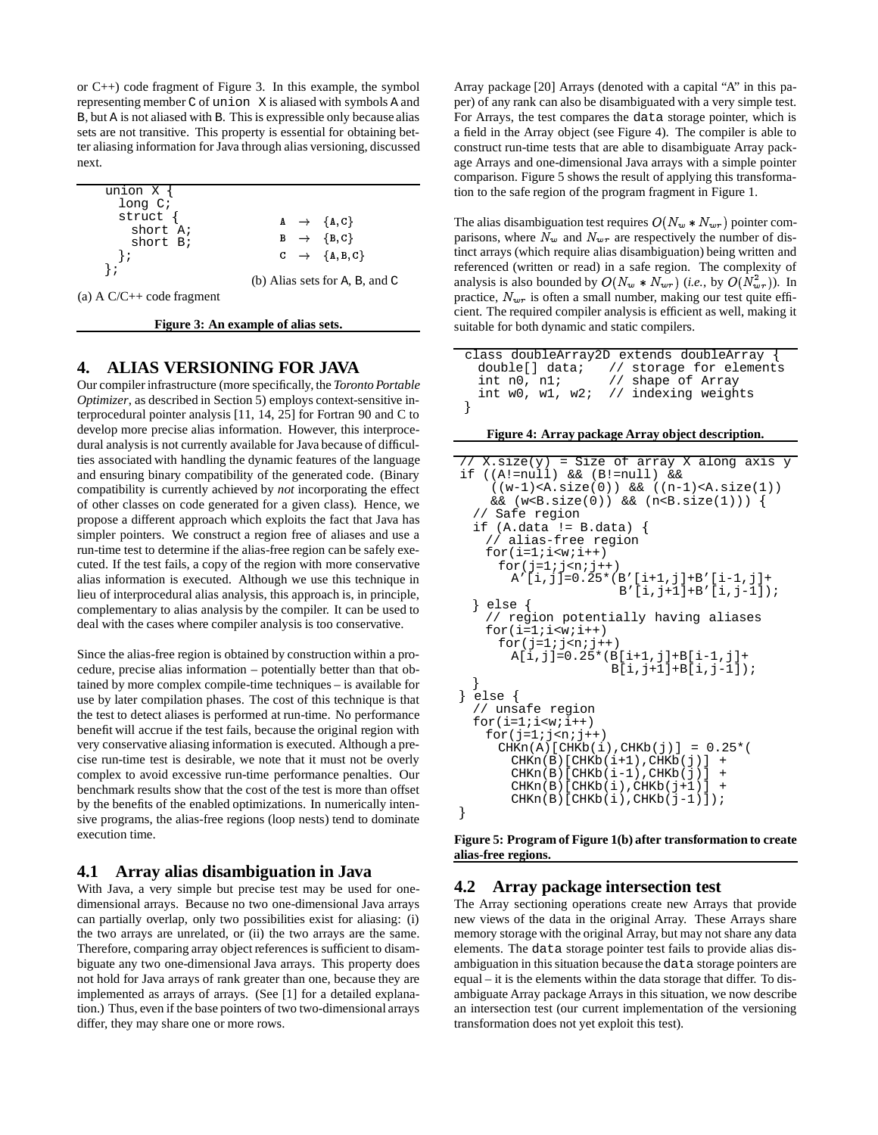or C++) code fragment of Figure 3. In this example, the symbol representing member C of union X is aliased with symbols A and B, but A is not aliased with B. This is expressible only because alias sets are not transitive. This property is essential for obtaining better aliasing information for Java through alias versioning, discussed next.

| union $X \leftarrow$<br>$l$ ong $C_i$<br>struct $\{$<br>short A;<br>short B; | $A \rightarrow \{A, C\}$<br>$B \rightarrow \{B, C\}$<br>$C \rightarrow \{A, B, C\}$ |  |  |  |
|------------------------------------------------------------------------------|-------------------------------------------------------------------------------------|--|--|--|
| $\frac{1}{2}$<br>(a) A $C/C++$ code fragment                                 | (b) Alias sets for A, B, and $\mathcal C$                                           |  |  |  |

**Figure 3: An example of alias sets.**

#### **4. ALIAS VERSIONING FOR JAVA**

Our compiler infrastructure (more specifically, the *Toronto Portable Optimizer*, as described in Section 5) employs context-sensitive interprocedural pointer analysis [11, 14, 25] for Fortran 90 and C to develop more precise alias information. However, this interprocedural analysisis not currently available for Java because of difficulties associated with handling the dynamic features of the language and ensuring binary compatibility of the generated code. (Binary compatibility is currently achieved by *not* incorporating the effect of other classes on code generated for a given class). Hence, we propose a different approach which exploits the fact that Java has simpler pointers. We construct a region free of aliases and use a run-time test to determine if the alias-free region can be safely executed. If the test fails, a copy of the region with more conservative alias information is executed. Although we use this technique in lieu of interprocedural alias analysis, this approach is, in principle, complementary to alias analysis by the compiler. It can be used to deal with the cases where compiler analysis is too conservative.

Since the alias-free region is obtained by construction within a procedure, precise alias information – potentially better than that obtained by more complex compile-time techniques – is available for use by later compilation phases. The cost of this technique is that the test to detect aliases is performed at run-time. No performance benefit will accrue if the test fails, because the original region with very conservative aliasing information is executed. Although a precise run-time test is desirable, we note that it must not be overly complex to avoid excessive run-time performance penalties. Our benchmark results show that the cost of the test is more than offset by the benefits of the enabled optimizations. In numerically intensive programs, the alias-free regions (loop nests) tend to dominate execution time.

#### **4.1 Array alias disambiguation in Java**

With Java, a very simple but precise test may be used for onedimensional arrays. Because no two one-dimensional Java arrays can partially overlap, only two possibilities exist for aliasing: (i) the two arrays are unrelated, or (ii) the two arrays are the same. Therefore, comparing array object references is sufficient to disambiguate any two one-dimensional Java arrays. This property does not hold for Java arrays of rank greater than one, because they are implemented as arrays of arrays. (See [1] for a detailed explanation.) Thus, even if the base pointers of two two-dimensional arrays differ, they may share one or more rows.

Array package [20] Arrays (denoted with a capital "A" in this paper) of any rank can also be disambiguated with a very simple test. For Arrays, the test compares the data storage pointer, which is a field in the Array object (see Figure 4). The compiler is able to construct run-time tests that are able to disambiguate Array package Arrays and one-dimensional Java arrays with a simple pointer comparison. Figure 5 shows the result of applying this transformation to the safe region of the program fragment in Figure 1.

The alias disambiguation test requires  $O(N_w*N_{wr})$  pointer comparisons, where  $N_w$  and  $N_{wr}$  are respectively the number of distinct arrays (which require alias disambiguation) being written and referenced (written or read) in a safe region. The complexity of analysis is also bounded by  $O(N_w * N_{wr})$  (*i.e.*, by  $O(N_{wr}^2)$ ). In practice,  $N_{wr}$  is often a small number, making our test quite efficient. The required compiler analysis is efficient as well, making it suitable for both dynamic and static compilers.

```
class doubleArray2D extends doubleArray<br>double[] data; // storage for element
                               // storage for elements
   int n0, n1; // shape of Array<br>int w0, w1, w2; // indexing weigh
                              // indexing weights
þ
```
**Figure 4: Array package Array object description.**

```
1/ X.size(y) = Size of array X along axis y
if ((A!=null) && (B!=null) &&
    ((w-1)<A.size(0)) && ((n-1)<A.size(1))
   && (w<B.size(0)) && (n<B.size(1))) 	
    Safe region
 if (A.data != B.data) {
   // alias-free region
   for(i=1;i\le w;i++)for(j=1:j<ri+j++)A'[i,j]=0.25*(B'[i+1,j]+B'[i-1,j]+
                    B'[i,j+1]+B'[i,j-1]);
  } else {
   // region potentially having aliases
   for(i=1;i< w;i++)for(j=1:j<ri+j++)A[i,j]=0.25*(B[i+1,j]+B[i-1,j]+B[i,j+1]+B[i,j-1]);
 }
} else {
 // unsafe region
 for(i=1;i< w;i++)for(i=1;i=n;i++)CHKn(A)[CHKb(i), CHKb(j)] = 0.25*(CHKn(B)[CHKb(i+1), CHKb(j)] +CHKn(B)[CHKb(i-1), CHKb(j)] +CHKn(B)[CHKb(i), CHKb(j+1)]CHKn(B)[CHKb(i), CHKb(j-1)];
ł
```
**Figure 5: Program of Figure 1(b) after transformation to create alias-free regions.**

### **4.2 Array package intersection test**

The Array sectioning operations create new Arrays that provide new views of the data in the original Array. These Arrays share memory storage with the original Array, but may not share any data elements. The data storage pointer test fails to provide alias disambiguation in this situation because the data storage pointers are equal – it is the elements within the data storage that differ. To disambiguate Array package Arrays in this situation, we now describe an intersection test (our current implementation of the versioning transformation does not yet exploit this test).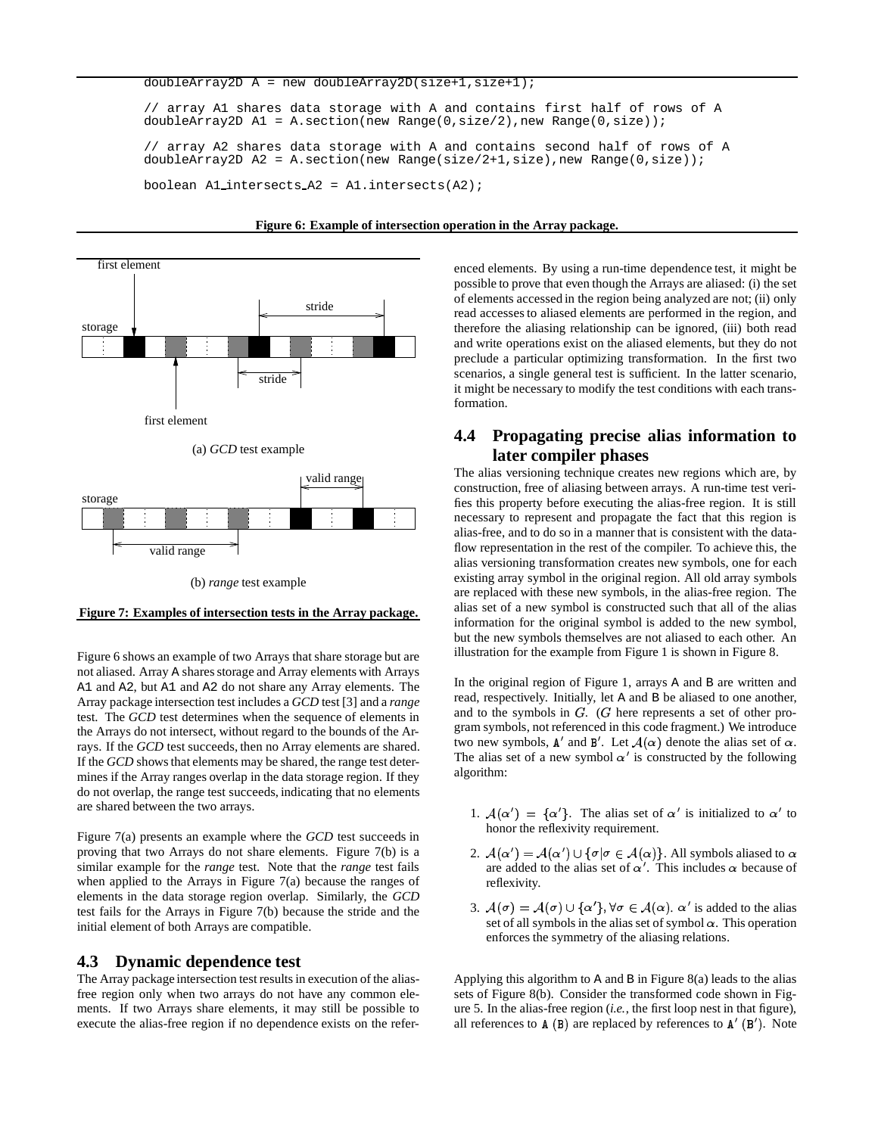$doubleArray2D A = new doubleArray2D(size+1,size+1);$ 

// array A1 shares data storage with A and contains first half of rows of A doubleArray2D A1 = A.section(new Range(0,size/2),new Range(0,size));

// array A2 shares data storage with A and contains second half of rows of A doubleArray2D A2 = A.section(new Range(size/2+1,size),new Range(0,size));

boolean  $\text{Alintersects}_A2 = \text{Alintersects}(A2);$ 

stride storage first element first element stride (a) *GCD* test example valid range storage valid range

#### **Figure 6: Example of intersection operation in the Array package.**



#### **Figure 7: Examples of intersection tests in the Array package.**

Figure 6 shows an example of two Arrays that share storage but are not aliased. Array A shares storage and Array elements with Arrays A1 and A2, but A1 and A2 do not share any Array elements. The Array package intersection test includes a *GCD* test [3] and a *range* test. The *GCD* test determines when the sequence of elements in the Arrays do not intersect, without regard to the bounds of the Arrays. If the *GCD* test succeeds, then no Array elements are shared. If the *GCD* shows that elements may be shared, the range test determines if the Array ranges overlap in the data storage region. If they do not overlap, the range test succeeds, indicating that no elements are shared between the two arrays.

Figure 7(a) presents an example where the *GCD* test succeeds in proving that two Arrays do not share elements. Figure 7(b) is a similar example for the *range* test. Note that the *range* test fails when applied to the Arrays in Figure 7(a) because the ranges of elements in the data storage region overlap. Similarly, the *GCD* test fails for the Arrays in Figure 7(b) because the stride and the initial element of both Arrays are compatible.

#### **4.3 Dynamic dependence test**

The Array package intersection test resultsin execution of the aliasfree region only when two arrays do not have any common elements. If two Arrays share elements, it may still be possible to execute the alias-free region if no dependence exists on the referenced elements. By using a run-time dependence test, it might be possible to prove that even though the Arrays are aliased: (i) the set of elements accessed in the region being analyzed are not; (ii) only read accessesto aliased elements are performed in the region, and therefore the aliasing relationship can be ignored, (iii) both read and write operations exist on the aliased elements, but they do not preclude a particular optimizing transformation. In the first two scenarios, a single general test is sufficient. In the latter scenario, it might be necessary to modify the test conditions with each transformation.

# **4.4 Propagating precise alias information to later compiler phases**

The alias versioning technique creates new regions which are, by construction, free of aliasing between arrays. A run-time test verifies this property before executing the alias-free region. It is still necessary to represent and propagate the fact that this region is alias-free, and to do so in a manner that is consistent with the dataflow representation in the rest of the compiler. To achieve this, the alias versioning transformation creates new symbols, one for each existing array symbol in the original region. All old array symbols are replaced with these new symbols, in the alias-free region. The alias set of a new symbol is constructed such that all of the alias information for the original symbol is added to the new symbol, but the new symbols themselves are not aliased to each other. An illustration for the example from Figure 1 is shown in Figure 8.

In the original region of Figure 1, arrays A and B are written and read, respectively. Initially, let A and B be aliased to one another, and to the symbols in  $G$ . ( $G$  here represents a set of other program symbols, not referenced in this code fragment.) We introduce two new symbols,  $A'$  and  $B'$ . Let  $\mathcal{A}(\alpha)$  denote the alias set of  $\alpha$ . The alias set of a new symbol  $\alpha'$  is constructed by the following algorithm:

- 1.  $A(\alpha') = {\alpha'}$ . The alias set of  $\alpha'$  is initialized to  $\alpha'$  to honor the reflexivity requirement.
- 2.  $\mathcal{A}(\alpha') = \mathcal{A}(\alpha') \cup \{\sigma | \sigma \in \mathcal{A}(\alpha)\}\$ . All symbols aliased to  $\alpha$ are added to the alias set of  $\alpha'$ . This includes  $\alpha$  because of reflexivity.
- 3.  $\mathcal{A}(\sigma) = \mathcal{A}(\sigma) \cup \{\alpha'\}, \forall \sigma \in \mathcal{A}(\alpha)$ .  $\alpha'$  is added to the alias set of all symbols in the alias set of symbol  $\alpha$ . This operation enforces the symmetry of the aliasing relations.

Applying this algorithm to A and B in Figure  $8(a)$  leads to the alias sets of Figure 8(b). Consider the transformed code shown in Figure 5. In the alias-free region (*i.e.*, the first loop nest in that figure), all references to  $A(B)$  are replaced by references to  $A'(B')$ . Note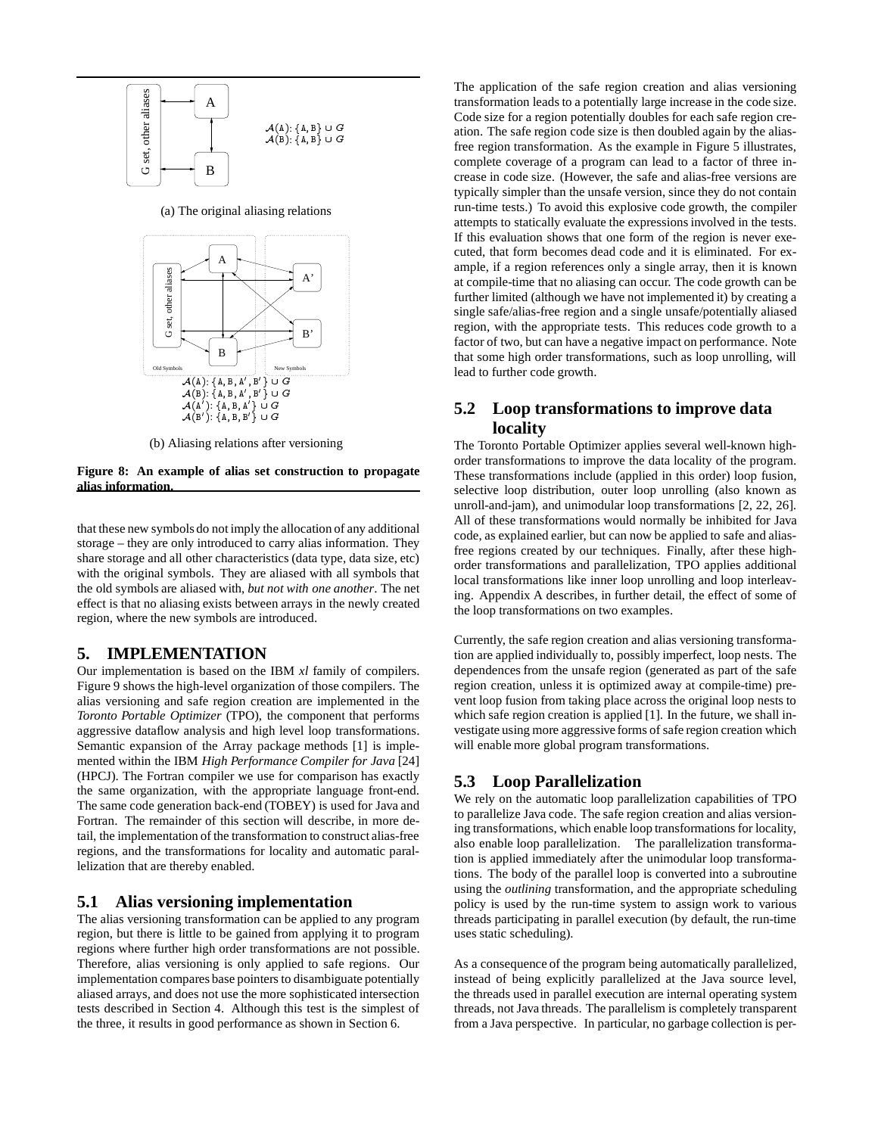

(b) Aliasing relations after versioning

**Figure 8: An example of alias set construction to propagate alias information.**

that these new symbols do not imply the allocation of any additional storage – they are only introduced to carry alias information. They share storage and all other characteristics (data type, data size, etc) with the original symbols. They are aliased with all symbols that the old symbols are aliased with, *but not with one another*. The net effect is that no aliasing exists between arrays in the newly created region, where the new symbols are introduced.

# **5. IMPLEMENTATION**

Our implementation is based on the IBM *xl* family of compilers. Figure 9 shows the high-level organization of those compilers. The alias versioning and safe region creation are implemented in the *Toronto Portable Optimizer* (TPO), the component that performs aggressive dataflow analysis and high level loop transformations. Semantic expansion of the Array package methods [1] is implemented within the IBM *High Performance Compiler for Java* [24] (HPCJ). The Fortran compiler we use for comparison has exactly the same organization, with the appropriate language front-end. The same code generation back-end (TOBEY) is used for Java and Fortran. The remainder of this section will describe, in more detail, the implementation of the transformation to construct alias-free regions, and the transformations for locality and automatic parallelization that are thereby enabled.

### **5.1 Alias versioning implementation**

The alias versioning transformation can be applied to any program region, but there is little to be gained from applying it to program regions where further high order transformations are not possible. Therefore, alias versioning is only applied to safe regions. Our implementation compares base pointers to disambiguate potentially aliased arrays, and does not use the more sophisticated intersection tests described in Section 4. Although this test is the simplest of the three, it results in good performance as shown in Section 6.

The application of the safe region creation and alias versioning transformation leads to a potentially large increase in the code size. Code size for a region potentially doubles for each safe region creation. The safe region code size is then doubled again by the aliasfree region transformation. As the example in Figure 5 illustrates, complete coverage of a program can lead to a factor of three increase in code size. (However, the safe and alias-free versions are typically simpler than the unsafe version, since they do not contain run-time tests.) To avoid this explosive code growth, the compiler attempts to statically evaluate the expressionsinvolved in the tests. If this evaluation shows that one form of the region is never executed, that form becomes dead code and it is eliminated. For example, if a region references only a single array, then it is known at compile-time that no aliasing can occur. The code growth can be further limited (although we have not implemented it) by creating a single safe/alias-free region and a single unsafe/potentially aliased region, with the appropriate tests. This reduces code growth to a factor of two, but can have a negative impact on performance. Note that some high order transformations, such as loop unrolling, will lead to further code growth.

# **5.2 Loop transformations to improve data locality**

The Toronto Portable Optimizer applies several well-known highorder transformations to improve the data locality of the program. These transformations include (applied in this order) loop fusion, selective loop distribution, outer loop unrolling (also known as unroll-and-jam), and unimodular loop transformations [2, 22, 26]. All of these transformations would normally be inhibited for Java code, as explained earlier, but can now be applied to safe and aliasfree regions created by our techniques. Finally, after these highorder transformations and parallelization, TPO applies additional local transformations like inner loop unrolling and loop interleaving. Appendix A describes, in further detail, the effect of some of the loop transformations on two examples.

Currently, the safe region creation and alias versioning transformation are applied individually to, possibly imperfect, loop nests. The dependences from the unsafe region (generated as part of the safe region creation, unless it is optimized away at compile-time) prevent loop fusion from taking place across the original loop nests to which safe region creation is applied [1]. In the future, we shall investigate using more aggressive forms of safe region creation which will enable more global program transformations.

# **5.3 Loop Parallelization**

We rely on the automatic loop parallelization capabilities of TPO to parallelize Java code. The safe region creation and alias versioning transformations, which enable loop transformations for locality, also enable loop parallelization. The parallelization transformation is applied immediately after the unimodular loop transformations. The body of the parallel loop is converted into a subroutine using the *outlining* transformation, and the appropriate scheduling policy is used by the run-time system to assign work to various threads participating in parallel execution (by default, the run-time uses static scheduling).

As a consequence of the program being automatically parallelized, instead of being explicitly parallelized at the Java source level, the threads used in parallel execution are internal operating system threads, not Java threads. The parallelism is completely transparent from a Java perspective. In particular, no garbage collection is per-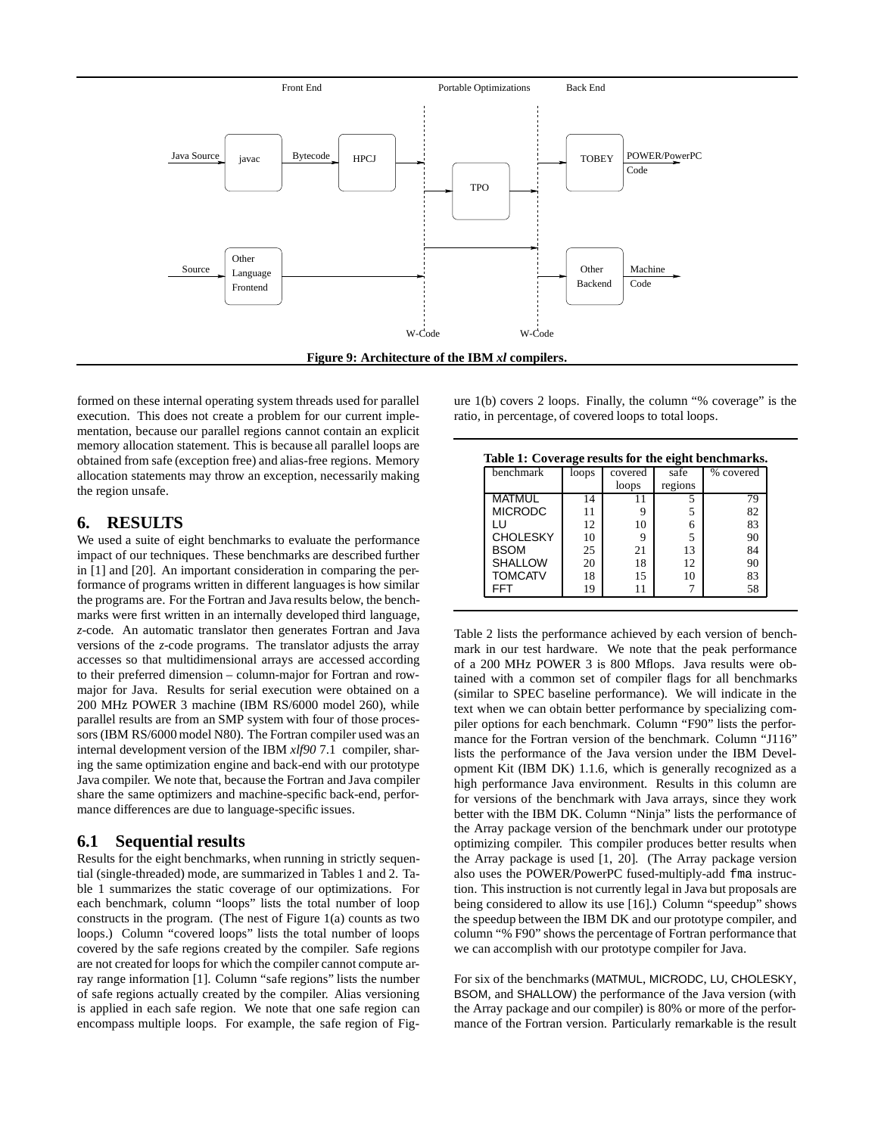

formed on these internal operating system threads used for parallel execution. This does not create a problem for our current implementation, because our parallel regions cannot contain an explicit memory allocation statement. This is because all parallel loops are obtained from safe (exception free) and alias-free regions. Memory allocation statements may throw an exception, necessarily making the region unsafe.

### **6. RESULTS**

We used a suite of eight benchmarks to evaluate the performance impact of our techniques. These benchmarks are described further in [1] and [20]. An important consideration in comparing the performance of programs written in different languages is how similar the programs are. For the Fortran and Java results below, the benchmarks were first written in an internally developed third language, *z*-code. An automatic translator then generates Fortran and Java versions of the *z*-code programs. The translator adjusts the array accesses so that multidimensional arrays are accessed according to their preferred dimension – column-major for Fortran and rowmajor for Java. Results for serial execution were obtained on a 200 MHz POWER 3 machine (IBM RS/6000 model 260), while parallel results are from an SMP system with four of those processors(IBM RS/6000 model N80). The Fortran compiler used was an internal development version of the IBM *xlf90* 7.1 compiler, sharing the same optimization engine and back-end with our prototype Java compiler. We note that, because the Fortran and Java compiler share the same optimizers and machine-specific back-end, performance differences are due to language-specific issues.

### **6.1 Sequential results**

Results for the eight benchmarks, when running in strictly sequential (single-threaded) mode, are summarized in Tables 1 and 2. Table 1 summarizes the static coverage of our optimizations. For each benchmark, column "loops" lists the total number of loop constructs in the program. (The nest of Figure 1(a) counts as two loops.) Column "covered loops" lists the total number of loops covered by the safe regions created by the compiler. Safe regions are not created for loops for which the compiler cannot compute array range information [1]. Column "safe regions" lists the number of safe regions actually created by the compiler. Alias versioning is applied in each safe region. We note that one safe region can encompass multiple loops. For example, the safe region of Fig-

ure 1(b) covers 2 loops. Finally, the column "% coverage" is the ratio, in percentage, of covered loops to total loops.

| benchmark       | loops | covered | safe    | % covered |  |
|-----------------|-------|---------|---------|-----------|--|
|                 |       | loops   | regions |           |  |
| <b>MATMUL</b>   | 14    |         |         | 79        |  |
| <b>MICRODC</b>  | 11    |         |         | 82        |  |
| ιU              | 12    | 10      | 6       | 83        |  |
| <b>CHOLESKY</b> | 10    |         | 5       | 90        |  |
| BSOM            | 25    | 21      | 13      | 84        |  |
| <b>SHALLOW</b>  | 20    | 18      | 12      | 90        |  |
| <b>TOMCATV</b>  | 18    | 15      | 10      | 83        |  |
|                 | 19    | 11      |         | 58        |  |

Table 2 lists the performance achieved by each version of benchmark in our test hardware. We note that the peak performance of a 200 MHz POWER 3 is 800 Mflops. Java results were obtained with a common set of compiler flags for all benchmarks (similar to SPEC baseline performance). We will indicate in the text when we can obtain better performance by specializing compiler options for each benchmark. Column "F90" lists the performance for the Fortran version of the benchmark. Column "J116" lists the performance of the Java version under the IBM Development Kit (IBM DK) 1.1.6, which is generally recognized as a high performance Java environment. Results in this column are for versions of the benchmark with Java arrays, since they work better with the IBM DK. Column "Ninja" lists the performance of the Array package version of the benchmark under our prototype optimizing compiler. This compiler produces better results when the Array package is used [1, 20]. (The Array package version also uses the POWER/PowerPC fused-multiply-add fma instruction. Thisinstruction is not currently legal in Java but proposals are being considered to allow its use [16].) Column "speedup" shows the speedup between the IBM DK and our prototype compiler, and column "% F90" shows the percentage of Fortran performance that we can accomplish with our prototype compiler for Java.

For six of the benchmarks(MATMUL, MICRODC, LU, CHOLESKY, BSOM, and SHALLOW) the performance of the Java version (with the Array package and our compiler) is 80% or more of the performance of the Fortran version. Particularly remarkable is the result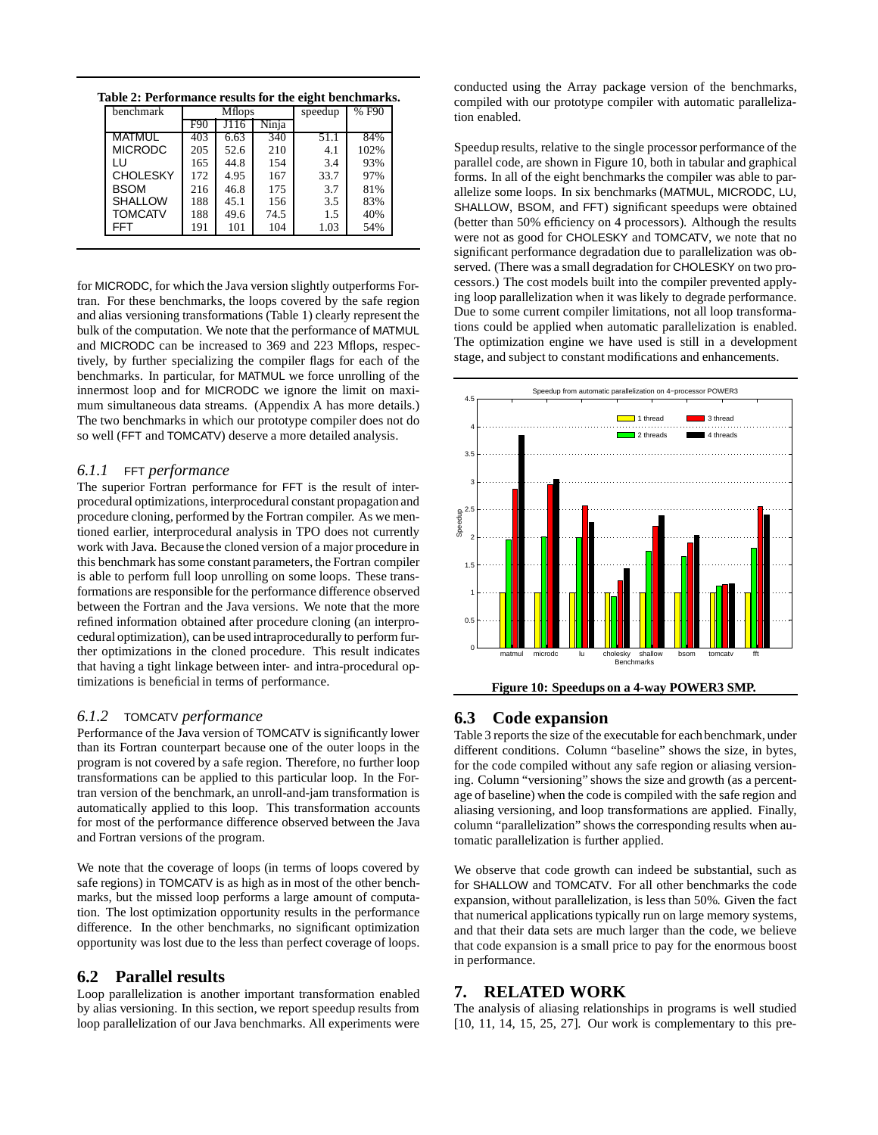**Table 2: Performance results for the eight benchmarks.**

| benchmark       | <b>M</b> flops |      |       | speedup | %F90 |
|-----------------|----------------|------|-------|---------|------|
|                 | F90            | J116 | Ninja |         |      |
| <b>MATMUL</b>   | 403            | 6.63 | 340   | 51.1    | 84%  |
| <b>MICRODC</b>  | 205            | 52.6 | 210   | 4.1     | 102% |
| LU              | 165            | 44.8 | 154   | 3.4     | 93%  |
| <b>CHOLESKY</b> | 172            | 4.95 | 167   | 33.7    | 97%  |
| <b>BSOM</b>     | 216            | 46.8 | 175   | 3.7     | 81%  |
| <b>SHALLOW</b>  | 188            | 45.1 | 156   | 3.5     | 83%  |
| <b>TOMCATV</b>  | 188            | 49.6 | 74.5  | 1.5     | 40%  |
| FFT             | 191            | 101  | 104   | 1.03    | 54%  |

for MICRODC, for which the Java version slightly outperforms Fortran. For these benchmarks, the loops covered by the safe region and alias versioning transformations (Table 1) clearly represent the bulk of the computation. We note that the performance of MATMUL and MICRODC can be increased to 369 and 223 Mflops, respectively, by further specializing the compiler flags for each of the benchmarks. In particular, for MATMUL we force unrolling of the innermost loop and for MICRODC we ignore the limit on maximum simultaneous data streams. (Appendix A has more details.) The two benchmarks in which our prototype compiler does not do so well (FFT and TOMCATV) deserve a more detailed analysis.

#### *6.1.1* FFT *performance*

The superior Fortran performance for FFT is the result of interprocedural optimizations, interprocedural constant propagation and procedure cloning, performed by the Fortran compiler. As we mentioned earlier, interprocedural analysis in TPO does not currently work with Java. Because the cloned version of a major procedure in this benchmark hassome constant parameters, the Fortran compiler is able to perform full loop unrolling on some loops. These transformations are responsible for the performance difference observed between the Fortran and the Java versions. We note that the more refined information obtained after procedure cloning (an interprocedural optimization), can be used intraprocedurally to perform further optimizations in the cloned procedure. This result indicates that having a tight linkage between inter- and intra-procedural optimizations is beneficial in terms of performance.

#### *6.1.2* TOMCATV *performance*

Performance of the Java version of TOMCATV is significantly lower than its Fortran counterpart because one of the outer loops in the program is not covered by a safe region. Therefore, no further loop transformations can be applied to this particular loop. In the Fortran version of the benchmark, an unroll-and-jam transformation is automatically applied to this loop. This transformation accounts for most of the performance difference observed between the Java and Fortran versions of the program.

We note that the coverage of loops (in terms of loops covered by safe regions) in TOMCATV is as high as in most of the other benchmarks, but the missed loop performs a large amount of computation. The lost optimization opportunity results in the performance difference. In the other benchmarks, no significant optimization opportunity was lost due to the less than perfect coverage of loops.

### **6.2 Parallel results**

Loop parallelization is another important transformation enabled by alias versioning. In this section, we report speedup results from loop parallelization of our Java benchmarks. All experiments were conducted using the Array package version of the benchmarks, compiled with our prototype compiler with automatic parallelization enabled.

Speedup results, relative to the single processor performance of the parallel code, are shown in Figure 10, both in tabular and graphical forms. In all of the eight benchmarks the compiler was able to parallelize some loops. In six benchmarks (MATMUL, MICRODC, LU, SHALLOW, BSOM, and FFT) significant speedups were obtained (better than 50% efficiency on 4 processors). Although the results were not as good for CHOLESKY and TOMCATV, we note that no significant performance degradation due to parallelization was observed. (There was a small degradation for CHOLESKY on two processors.) The cost models built into the compiler prevented applying loop parallelization when it was likely to degrade performance. Due to some current compiler limitations, not all loop transformations could be applied when automatic parallelization is enabled. The optimization engine we have used is still in a development stage, and subject to constant modifications and enhancements.



### **6.3 Code expansion**

Table 3 reports the size of the executable for each benchmark, under different conditions. Column "baseline" shows the size, in bytes, for the code compiled without any safe region or aliasing versioning. Column "versioning" shows the size and growth (as a percentage of baseline) when the code is compiled with the safe region and aliasing versioning, and loop transformations are applied. Finally, column "parallelization" shows the corresponding results when automatic parallelization is further applied.

We observe that code growth can indeed be substantial, such as for SHALLOW and TOMCATV. For all other benchmarks the code expansion, without parallelization, is less than 50%. Given the fact that numerical applications typically run on large memory systems, and that their data sets are much larger than the code, we believe that code expansion is a small price to pay for the enormous boost in performance.

# **7. RELATED WORK**

The analysis of aliasing relationships in programs is well studied [10, 11, 14, 15, 25, 27]. Our work is complementary to this pre-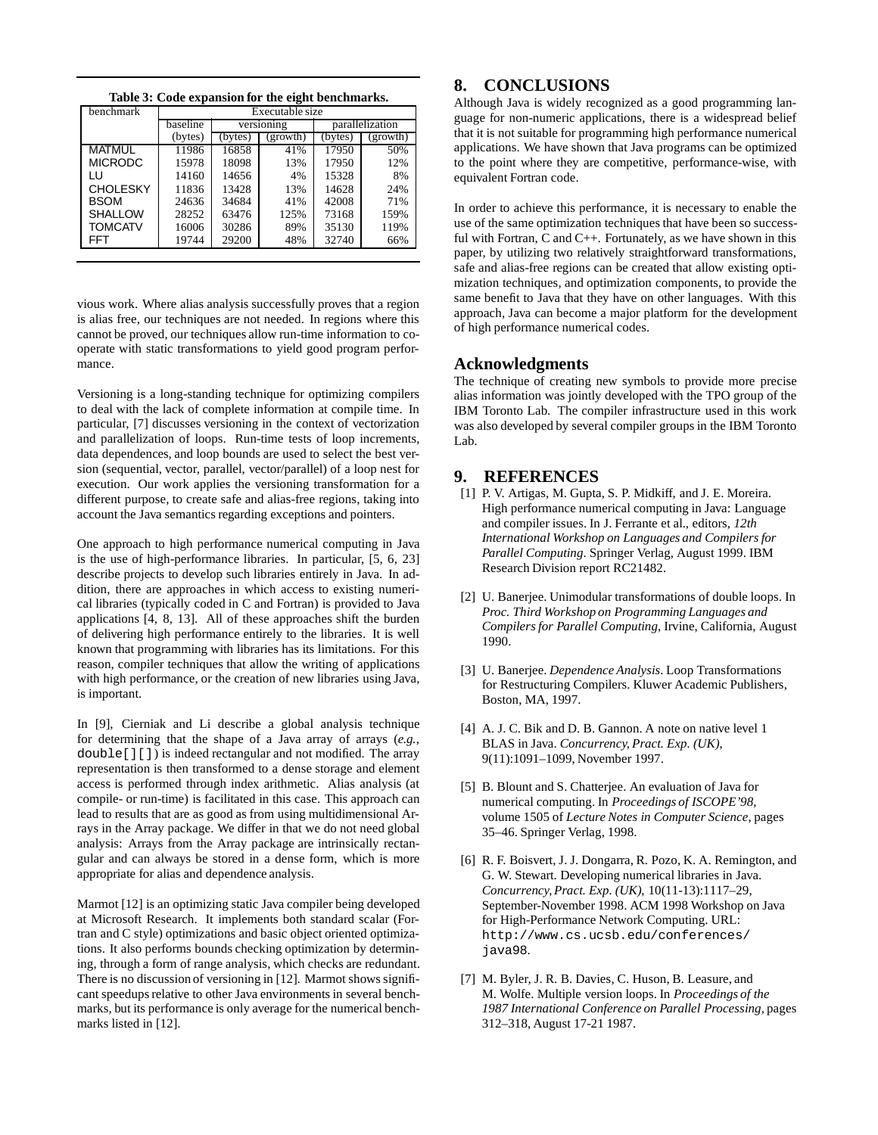**Table 3: Code expansion for the eight benchmarks.**

| benchmark       | Executable size |         |            |                 |          |  |
|-----------------|-----------------|---------|------------|-----------------|----------|--|
|                 |                 |         |            |                 |          |  |
|                 | baseline        |         | versioning | parallelization |          |  |
|                 | (bytes)         | (bytes) | (growth)   | (bytes)         | (growth) |  |
| <b>MATMUL</b>   | 11986           | 16858   | 41%        | 17950           | 50%      |  |
| <b>MICRODC</b>  | 15978           | 18098   | 13%        | 17950           | 12%      |  |
| ПU              | 14160           | 14656   | 4%         | 15328           | 8%       |  |
| <b>CHOLESKY</b> | 11836           | 13428   | 13%        | 14628           | 24%      |  |
| <b>BSOM</b>     | 24636           | 34684   | 41%        | 42008           | 71%      |  |
| <b>SHALLOW</b>  | 28252           | 63476   | 125%       | 73168           | 159%     |  |
| <b>TOMCATV</b>  | 16006           | 30286   | 89%        | 35130           | 119%     |  |
| FFT             | 19744           | 29200   | 48%        | 32740           | 66%      |  |

vious work. Where alias analysis successfully proves that a region is alias free, our techniques are not needed. In regions where this cannot be proved, our techniques allow run-time information to cooperate with static transformations to yield good program performance.

Versioning is a long-standing technique for optimizing compilers to deal with the lack of complete information at compile time. In particular, [7] discusses versioning in the context of vectorization and parallelization of loops. Run-time tests of loop increments, data dependences, and loop bounds are used to select the best version (sequential, vector, parallel, vector/parallel) of a loop nest for execution. Our work applies the versioning transformation for a different purpose, to create safe and alias-free regions, taking into account the Java semantics regarding exceptions and pointers.

One approach to high performance numerical computing in Java is the use of high-performance libraries. In particular, [5, 6, 23] describe projects to develop such libraries entirely in Java. In addition, there are approaches in which access to existing numerical libraries (typically coded in C and Fortran) is provided to Java applications [4, 8, 13]. All of these approaches shift the burden of delivering high performance entirely to the libraries. It is well known that programming with libraries has its limitations. For this reason, compiler techniques that allow the writing of applications with high performance, or the creation of new libraries using Java, is important.

In [9], Cierniak and Li describe a global analysis technique for determining that the shape of a Java array of arrays (*e.g.*, double[][]) is indeed rectangular and not modified. The array representation is then transformed to a dense storage and element access is performed through index arithmetic. Alias analysis (at compile- or run-time) is facilitated in this case. This approach can lead to results that are as good as from using multidimensional Arrays in the Array package. We differ in that we do not need global analysis: Arrays from the Array package are intrinsically rectangular and can always be stored in a dense form, which is more appropriate for alias and dependence analysis.

Marmot [12] is an optimizing static Java compiler being developed at Microsoft Research. It implements both standard scalar (Fortran and C style) optimizations and basic object oriented optimizations. It also performs bounds checking optimization by determining, through a form of range analysis, which checks are redundant. There is no discussion of versioning in [12]. Marmot shows significant speedups relative to other Java environments in several benchmarks, but its performance is only average for the numerical benchmarks listed in [12].

# **8. CONCLUSIONS**

Although Java is widely recognized as a good programming language for non-numeric applications, there is a widespread belief that it is not suitable for programming high performance numerical applications. We have shown that Java programs can be optimized to the point where they are competitive, performance-wise, with equivalent Fortran code.

In order to achieve this performance, it is necessary to enable the use of the same optimization techniques that have been so successful with Fortran, C and C++. Fortunately, as we have shown in this paper, by utilizing two relatively straightforward transformations, safe and alias-free regions can be created that allow existing optimization techniques, and optimization components, to provide the same benefit to Java that they have on other languages. With this approach, Java can become a major platform for the development of high performance numerical codes.

#### **Acknowledgments**

The technique of creating new symbols to provide more precise alias information was jointly developed with the TPO group of the IBM Toronto Lab. The compiler infrastructure used in this work was also developed by several compiler groups in the IBM Toronto Lab.

### **9. REFERENCES**

- [1] P. V. Artigas, M. Gupta, S. P. Midkiff, and J. E. Moreira. High performance numerical computing in Java: Language and compiler issues. In J. Ferrante et al., editors, *12th International Workshop on Languages and Compilersfor Parallel Computing*. Springer Verlag, August 1999. IBM Research Division report RC21482.
- [2] U. Banerjee. Unimodular transformations of double loops. In *Proc. Third Workshop on Programming Languages and Compilersfor Parallel Computing*, Irvine, California, August 1990.
- [3] U. Banerjee. *Dependence Analysis*. Loop Transformations for Restructuring Compilers. Kluwer Academic Publishers, Boston, MA, 1997.
- [4] A. J. C. Bik and D. B. Gannon. A note on native level 1 BLAS in Java. *Concurrency, Pract. Exp. (UK)*, 9(11):1091–1099, November 1997.
- [5] B. Blount and S. Chatterjee. An evaluation of Java for numerical computing. In *Proceedings of ISCOPE'98*, volume 1505 of *Lecture Notes in Computer Science*, pages 35–46. Springer Verlag, 1998.
- [6] R. F. Boisvert, J. J. Dongarra, R. Pozo, K. A. Remington, and G. W. Stewart. Developing numerical libraries in Java. *Concurrency, Pract. Exp. (UK)*, 10(11-13):1117–29, September-November 1998. ACM 1998 Workshop on Java for High-Performance Network Computing. URL: http://www.cs.ucsb.edu/conferences/ java98.
- [7] M. Byler, J. R. B. Davies, C. Huson, B. Leasure, and M. Wolfe. Multiple version loops. In *Proceedings of the 1987 International Conference on Parallel Processing*, pages 312–318, August 17-21 1987.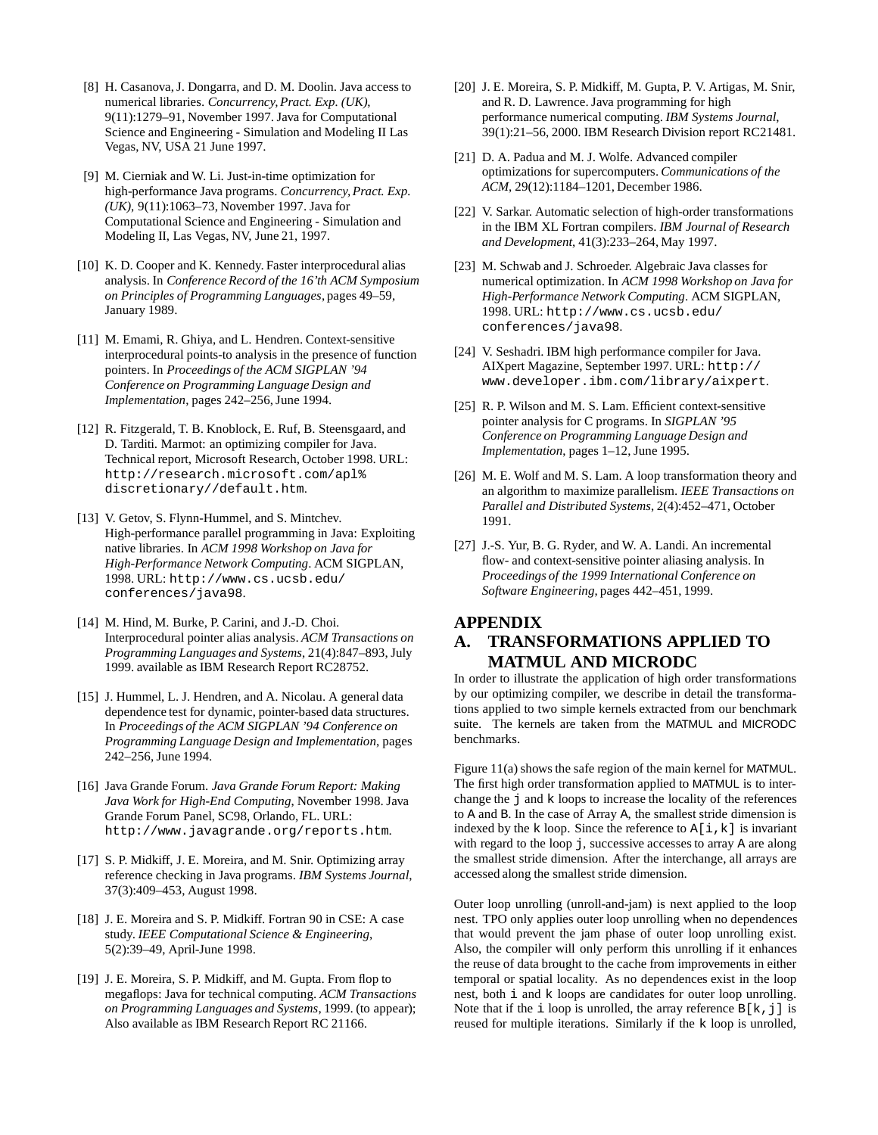- [8] H. Casanova, J. Dongarra, and D. M. Doolin. Java access to numerical libraries. *Concurrency, Pract. Exp. (UK)*, 9(11):1279–91, November 1997. Java for Computational Science and Engineering - Simulation and Modeling II Las Vegas, NV, USA 21 June 1997.
- [9] M. Cierniak and W. Li. Just-in-time optimization for high-performance Java programs. *Concurrency, Pract. Exp. (UK)*, 9(11):1063–73, November 1997. Java for Computational Science and Engineering - Simulation and Modeling II, Las Vegas, NV, June 21, 1997.
- [10] K. D. Cooper and K. Kennedy. Faster interprocedural alias analysis. In *Conference Record of the 16'th ACM Symposium on Principles of Programming Languages*, pages 49–59, January 1989.
- [11] M. Emami, R. Ghiya, and L. Hendren. Context-sensitive interprocedural points-to analysis in the presence of function pointers. In *Proceedings of the ACM SIGPLAN '94 Conference on Programming Language Design and Implementation*, pages 242–256,June 1994.
- [12] R. Fitzgerald, T. B. Knoblock, E. Ruf, B. Steensgaard, and D. Tarditi. Marmot: an optimizing compiler for Java. Technical report, Microsoft Research, October 1998. URL: http://research.microsoft.com/apl% discretionary//default.htm.
- [13] V. Getov, S. Flynn-Hummel, and S. Mintchev. High-performance parallel programming in Java: Exploiting native libraries. In *ACM 1998 Workshop on Java for High-Performance Network Computing*. ACM SIGPLAN, 1998. URL: http://www.cs.ucsb.edu/ conferences/java98.
- [14] M. Hind, M. Burke, P. Carini, and J.-D. Choi. Interprocedural pointer alias analysis. *ACM Transactions on Programming Languages and Systems*, 21(4):847–893, July 1999. available as IBM Research Report RC28752.
- [15] J. Hummel, L. J. Hendren, and A. Nicolau. A general data dependence test for dynamic, pointer-based data structures. In *Proceedings of the ACM SIGPLAN '94 Conference on Programming Language Design and Implementation*, pages 242–256, June 1994.
- [16] Java Grande Forum. *Java Grande Forum Report: Making Java Work for High-End Computing*, November 1998. Java Grande Forum Panel, SC98, Orlando, FL. URL: http://www.javagrande.org/reports.htm.
- [17] S. P. Midkiff, J. E. Moreira, and M. Snir. Optimizing array reference checking in Java programs. *IBM Systems Journal*, 37(3):409–453, August 1998.
- [18] J. E. Moreira and S. P. Midkiff. Fortran 90 in CSE: A case study. *IEEE Computational Science & Engineering*, 5(2):39–49, April-June 1998.
- [19] J. E. Moreira, S. P. Midkiff, and M. Gupta. From flop to megaflops: Java for technical computing. *ACM Transactions on Programming Languages and Systems*, 1999. (to appear); Also available as IBM Research Report RC 21166.
- [20] J. E. Moreira, S. P. Midkiff, M. Gupta, P. V. Artigas, M. Snir, and R. D. Lawrence. Java programming for high performance numerical computing. *IBM Systems Journal*, 39(1):21–56, 2000. IBM Research Division report RC21481.
- [21] D. A. Padua and M. J. Wolfe. Advanced compiler optimizations for supercomputers. *Communications of the ACM*, 29(12):1184–1201, December 1986.
- [22] V. Sarkar. Automatic selection of high-order transformations in the IBM XL Fortran compilers. *IBM Journal of Research and Development*, 41(3):233–264, May 1997.
- [23] M. Schwab and J. Schroeder. Algebraic Java classes for numerical optimization. In *ACM 1998 Workshop on Java for High-Performance Network Computing*. ACM SIGPLAN, 1998. URL: http://www.cs.ucsb.edu/ conferences/java98.
- [24] V. Seshadri. IBM high performance compiler for Java. AIXpert Magazine, September 1997. URL: http:// www.developer.ibm.com/library/aixpert.
- [25] R. P. Wilson and M. S. Lam. Efficient context-sensitive pointer analysis for C programs. In *SIGPLAN '95 Conference on Programming Language Design and Implementation*, pages 1–12, June 1995.
- [26] M. E. Wolf and M. S. Lam. A loop transformation theory and an algorithm to maximize parallelism. *IEEE Transactions on Parallel and Distributed Systems*, 2(4):452–471, October 1991.
- [27] J.-S. Yur, B. G. Ryder, and W. A. Landi. An incremental flow- and context-sensitive pointer aliasing analysis. In *Proceedings of the 1999 International Conference on Software Engineering*, pages 442–451, 1999.

# **APPENDIX A. TRANSFORMATIONS APPLIED TO MATMUL AND MICRODC**

In order to illustrate the application of high order transformations by our optimizing compiler, we describe in detail the transformations applied to two simple kernels extracted from our benchmark suite. The kernels are taken from the MATMUL and MICRODC benchmarks.

Figure 11(a) shows the safe region of the main kernel for MATMUL. The first high order transformation applied to MATMUL is to interchange the j and k loops to increase the locality of the references to A and B. In the case of Array A, the smallest stride dimension is indexed by the k loop. Since the reference to  $A[i, k]$  is invariant with regard to the loop j, successive accesses to array A are along the smallest stride dimension. After the interchange, all arrays are accessed along the smallest stride dimension.

Outer loop unrolling (unroll-and-jam) is next applied to the loop nest. TPO only applies outer loop unrolling when no dependences that would prevent the jam phase of outer loop unrolling exist. Also, the compiler will only perform this unrolling if it enhances the reuse of data brought to the cache from improvements in either temporal or spatial locality. As no dependences exist in the loop nest, both i and k loops are candidates for outer loop unrolling. Note that if the i loop is unrolled, the array reference  $B[k,j]$  is reused for multiple iterations. Similarly if the k loop is unrolled,